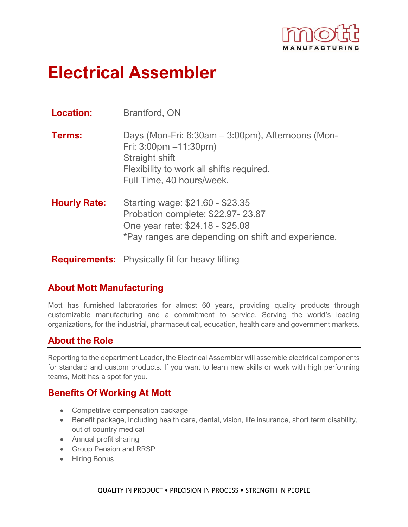

# **Electrical Assembler**

| <b>Location:</b>    | <b>Brantford, ON</b>                                                                                                                                                                   |
|---------------------|----------------------------------------------------------------------------------------------------------------------------------------------------------------------------------------|
| <b>Terms:</b>       | Days (Mon-Fri: 6:30am – 3:00pm), Afternoons (Mon-<br>Fri: $3:00 \text{pm} -11:30 \text{pm}$<br>Straight shift<br>Flexibility to work all shifts required.<br>Full Time, 40 hours/week. |
| <b>Hourly Rate:</b> | Starting wage: \$21.60 - \$23.35<br>Probation complete: \$22.97-23.87<br>One year rate: \$24.18 - \$25.08<br>*Pay ranges are depending on shift and experience.                        |
|                     | <b>Requirements:</b> Physically fit for heavy lifting                                                                                                                                  |

#### **About Mott Manufacturing**

Mott has furnished laboratories for almost 60 years, providing quality products through customizable manufacturing and a commitment to service. Serving the world's leading organizations, for the industrial, pharmaceutical, education, health care and government markets.

### **About the Role**

Reporting to the department Leader, the Electrical Assembler will assemble electrical components for standard and custom products. If you want to learn new skills or work with high performing teams, Mott has a spot for you.

### **Benefits Of Working At Mott**

- Competitive compensation package
- Benefit package, including health care, dental, vision, life insurance, short term disability, out of country medical
- Annual profit sharing
- Group Pension and RRSP
- Hiring Bonus